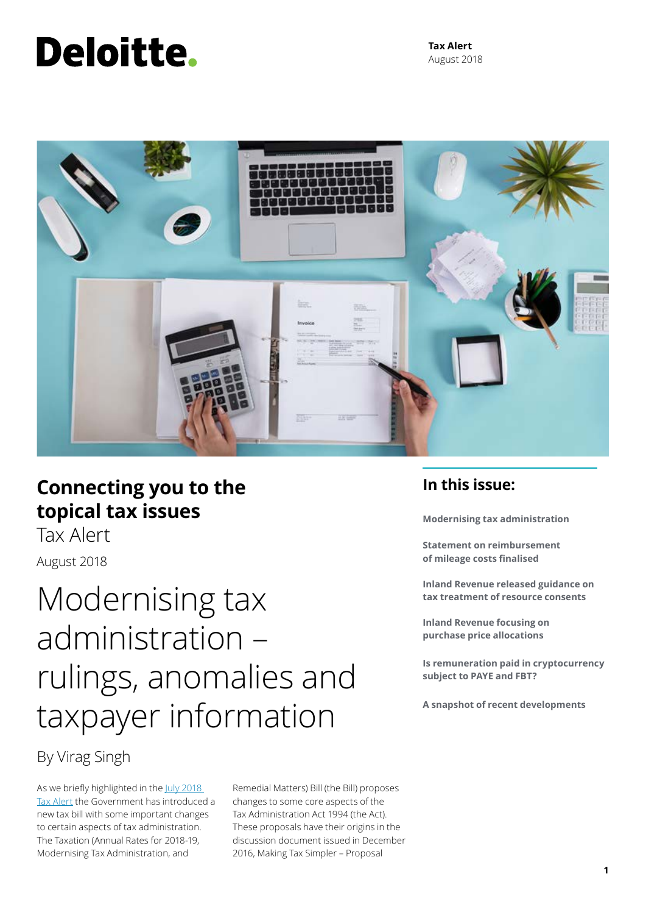# **Deloitte.**

**Tax Alert** August 2018



### **Connecting you to the topical tax issues**

Tax AlertAugust 2018

## Modernising tax administration – rulings, anomalies and taxpayer information

### By Virag Singh

As we briefly highlighted in the July 2018 [Tax Alert](https://www2.deloitte.com/nz/en/pages/tax-alerts/articles/stop-press-june-tax-bill-introduced.html) the Government has introduced a new tax bill with some important changes to certain aspects of tax administration. The Taxation (Annual Rates for 2018-19, Modernising Tax Administration, and

Remedial Matters) Bill (the Bill) proposes changes to some core aspects of the Tax Administration Act 1994 (the Act). These proposals have their origins in the discussion document issued in December 2016, Making Tax Simpler – Proposal

### **In this issue:**

**Modernising tax administration**

**Statement on reimbursement of mileage costs finalised**

**Inland Revenue released guidance on tax treatment of resource consents**

**Inland Revenue focusing on purchase price allocations**

**Is remuneration paid in cryptocurrency subject to PAYE and FBT?**

**A snapshot of recent developments**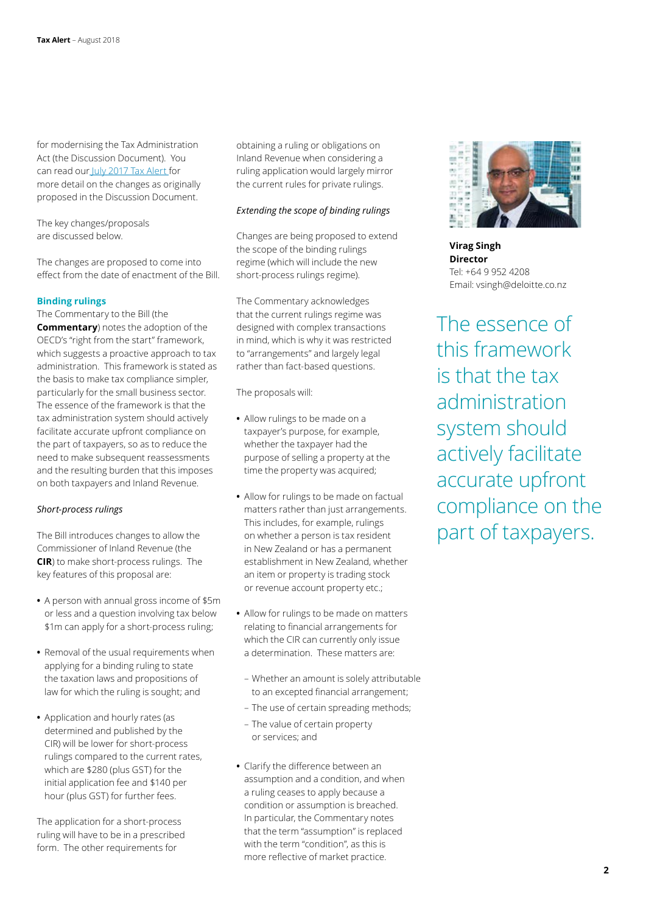for modernising the Tax Administration Act (the Discussion Document). You can read our [July 2017 Tax Alert f](https://www2.deloitte.com/nz/en/pages/tax-alerts/articles/New-proposals-for-binding-rulings-regime.html)or more detail on the changes as originally proposed in the Discussion Document.

The key changes/proposals are discussed below.

The changes are proposed to come into effect from the date of enactment of the Bill.

#### **Binding rulings**

The Commentary to the Bill (the **Commentary**) notes the adoption of the OECD's "right from the start" framework, which suggests a proactive approach to tax administration. This framework is stated as the basis to make tax compliance simpler, particularly for the small business sector. The essence of the framework is that the tax administration system should actively facilitate accurate upfront compliance on the part of taxpayers, so as to reduce the need to make subsequent reassessments and the resulting burden that this imposes on both taxpayers and Inland Revenue.

#### *Short-process rulings*

The Bill introduces changes to allow the Commissioner of Inland Revenue (the **CIR**) to make short-process rulings. The key features of this proposal are:

- **•** A person with annual gross income of \$5m or less and a question involving tax below \$1m can apply for a short-process ruling;
- **•** Removal of the usual requirements when applying for a binding ruling to state the taxation laws and propositions of law for which the ruling is sought; and
- **•** Application and hourly rates (as determined and published by the CIR) will be lower for short-process rulings compared to the current rates, which are \$280 (plus GST) for the initial application fee and \$140 per hour (plus GST) for further fees.

The application for a short-process ruling will have to be in a prescribed form. The other requirements for

obtaining a ruling or obligations on Inland Revenue when considering a ruling application would largely mirror the current rules for private rulings.

#### *Extending the scope of binding rulings*

Changes are being proposed to extend the scope of the binding rulings regime (which will include the new short-process rulings regime).

The Commentary acknowledges that the current rulings regime was designed with complex transactions in mind, which is why it was restricted to "arrangements" and largely legal rather than fact-based questions.

The proposals will:

- **•** Allow rulings to be made on a taxpayer's purpose, for example, whether the taxpayer had the purpose of selling a property at the time the property was acquired;
- **•** Allow for rulings to be made on factual matters rather than just arrangements. This includes, for example, rulings on whether a person is tax resident in New Zealand or has a permanent establishment in New Zealand, whether an item or property is trading stock or revenue account property etc.;
- **•** Allow for rulings to be made on matters relating to financial arrangements for which the CIR can currently only issue a determination. These matters are:
	- Whether an amount is solely attributable to an excepted financial arrangement;
	- The use of certain spreading methods;
	- The value of certain property or services; and
- **•** Clarify the difference between an assumption and a condition, and when a ruling ceases to apply because a condition or assumption is breached. In particular, the Commentary notes that the term "assumption" is replaced with the term "condition", as this is more reflective of market practice.



**Virag Singh Director** Tel: +64 9 952 4208 Email: vsingh@deloitte.co.nz

The essence of this framework is that the tax administration system should actively facilitate accurate upfront compliance on the part of taxpayers.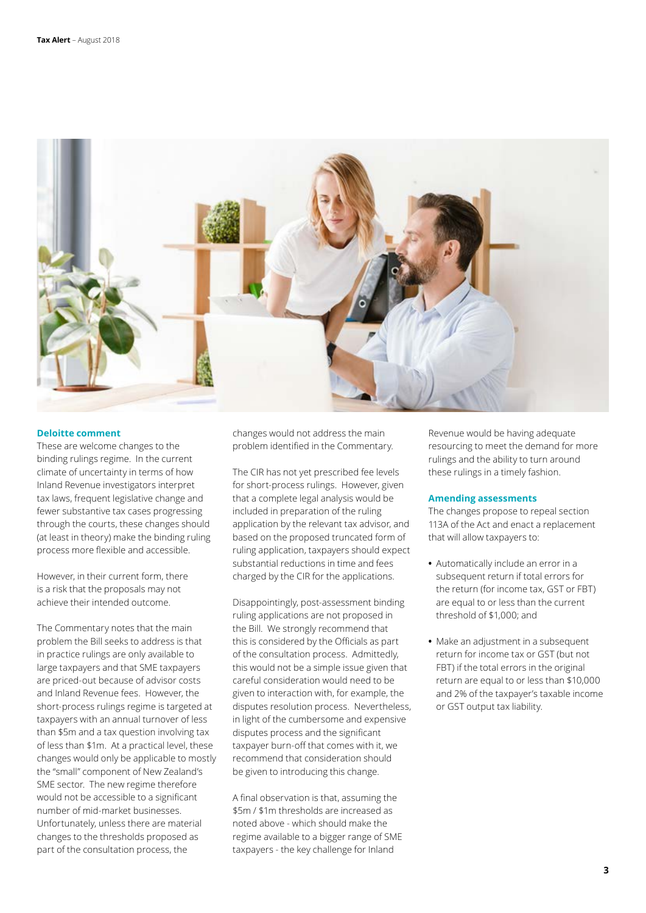

#### **Deloitte comment**

These are welcome changes to the binding rulings regime. In the current climate of uncertainty in terms of how Inland Revenue investigators interpret tax laws, frequent legislative change and fewer substantive tax cases progressing through the courts, these changes should (at least in theory) make the binding ruling process more flexible and accessible.

However, in their current form, there is a risk that the proposals may not achieve their intended outcome.

The Commentary notes that the main problem the Bill seeks to address is that in practice rulings are only available to large taxpayers and that SME taxpayers are priced-out because of advisor costs and Inland Revenue fees. However, the short-process rulings regime is targeted at taxpayers with an annual turnover of less than \$5m and a tax question involving tax of less than \$1m. At a practical level, these changes would only be applicable to mostly the "small" component of New Zealand's SME sector. The new regime therefore would not be accessible to a significant number of mid-market businesses. Unfortunately, unless there are material changes to the thresholds proposed as part of the consultation process, the

changes would not address the main problem identified in the Commentary.

The CIR has not yet prescribed fee levels for short-process rulings. However, given that a complete legal analysis would be included in preparation of the ruling application by the relevant tax advisor, and based on the proposed truncated form of ruling application, taxpayers should expect substantial reductions in time and fees charged by the CIR for the applications.

Disappointingly, post-assessment binding ruling applications are not proposed in the Bill. We strongly recommend that this is considered by the Officials as part of the consultation process. Admittedly, this would not be a simple issue given that careful consideration would need to be given to interaction with, for example, the disputes resolution process. Nevertheless, in light of the cumbersome and expensive disputes process and the significant taxpayer burn-off that comes with it, we recommend that consideration should be given to introducing this change.

A final observation is that, assuming the \$5m / \$1m thresholds are increased as noted above - which should make the regime available to a bigger range of SME taxpayers - the key challenge for Inland

Revenue would be having adequate resourcing to meet the demand for more rulings and the ability to turn around these rulings in a timely fashion.

#### **Amending assessments**

The changes propose to repeal section 113A of the Act and enact a replacement that will allow taxpayers to:

- **•** Automatically include an error in a subsequent return if total errors for the return (for income tax, GST or FBT) are equal to or less than the current threshold of \$1,000; and
- **•** Make an adjustment in a subsequent return for income tax or GST (but not FBT) if the total errors in the original return are equal to or less than \$10,000 and 2% of the taxpayer's taxable income or GST output tax liability.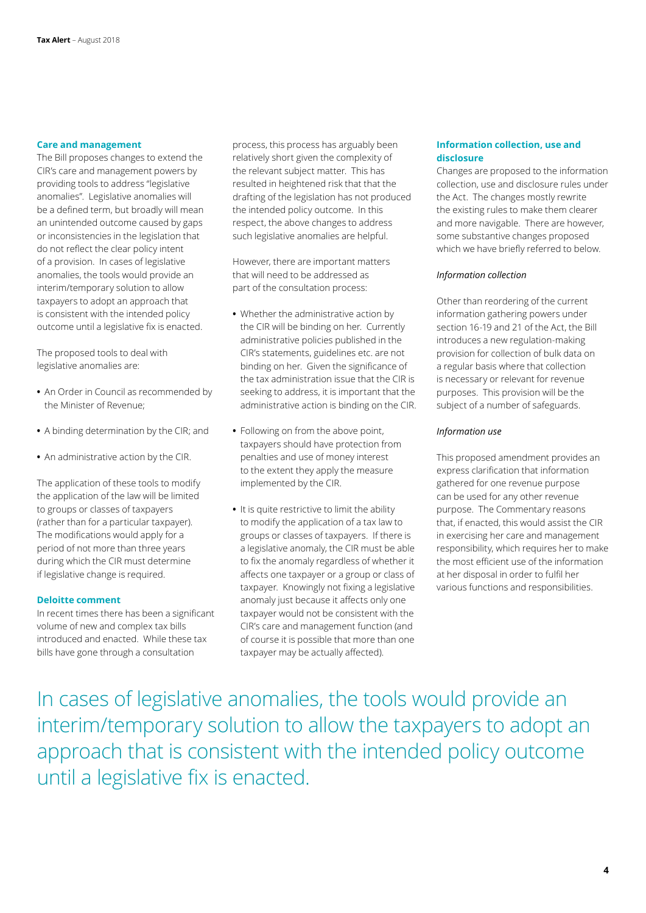#### **Care and management**

The Bill proposes changes to extend the CIR's care and management powers by providing tools to address "legislative anomalies". Legislative anomalies will be a defined term, but broadly will mean an unintended outcome caused by gaps or inconsistencies in the legislation that do not reflect the clear policy intent of a provision. In cases of legislative anomalies, the tools would provide an interim/temporary solution to allow taxpayers to adopt an approach that is consistent with the intended policy outcome until a legislative fix is enacted.

The proposed tools to deal with legislative anomalies are:

- **•** An Order in Council as recommended by the Minister of Revenue;
- **•** A binding determination by the CIR; and
- **•** An administrative action by the CIR.

The application of these tools to modify the application of the law will be limited to groups or classes of taxpayers (rather than for a particular taxpayer). The modifications would apply for a period of not more than three years during which the CIR must determine if legislative change is required.

#### **Deloitte comment**

In recent times there has been a significant volume of new and complex tax bills introduced and enacted. While these tax bills have gone through a consultation

process, this process has arguably been relatively short given the complexity of the relevant subject matter. This has resulted in heightened risk that that the drafting of the legislation has not produced the intended policy outcome. In this respect, the above changes to address such legislative anomalies are helpful.

However, there are important matters that will need to be addressed as part of the consultation process:

- **•** Whether the administrative action by the CIR will be binding on her. Currently administrative policies published in the CIR's statements, guidelines etc. are not binding on her. Given the significance of the tax administration issue that the CIR is seeking to address, it is important that the administrative action is binding on the CIR.
- **•** Following on from the above point, taxpayers should have protection from penalties and use of money interest to the extent they apply the measure implemented by the CIR.
- **•** It is quite restrictive to limit the ability to modify the application of a tax law to groups or classes of taxpayers. If there is a legislative anomaly, the CIR must be able to fix the anomaly regardless of whether it affects one taxpayer or a group or class of taxpayer. Knowingly not fixing a legislative anomaly just because it affects only one taxpayer would not be consistent with the CIR's care and management function (and of course it is possible that more than one taxpayer may be actually affected).

#### **Information collection, use and disclosure**

Changes are proposed to the information collection, use and disclosure rules under the Act. The changes mostly rewrite the existing rules to make them clearer and more navigable. There are however, some substantive changes proposed which we have briefly referred to below.

#### *Information collection*

Other than reordering of the current information gathering powers under section 16-19 and 21 of the Act, the Bill introduces a new regulation-making provision for collection of bulk data on a regular basis where that collection is necessary or relevant for revenue purposes. This provision will be the subject of a number of safeguards.

#### *Information use*

This proposed amendment provides an express clarification that information gathered for one revenue purpose can be used for any other revenue purpose. The Commentary reasons that, if enacted, this would assist the CIR in exercising her care and management responsibility, which requires her to make the most efficient use of the information at her disposal in order to fulfil her various functions and responsibilities.

In cases of legislative anomalies, the tools would provide an interim/temporary solution to allow the taxpayers to adopt an approach that is consistent with the intended policy outcome until a legislative fix is enacted.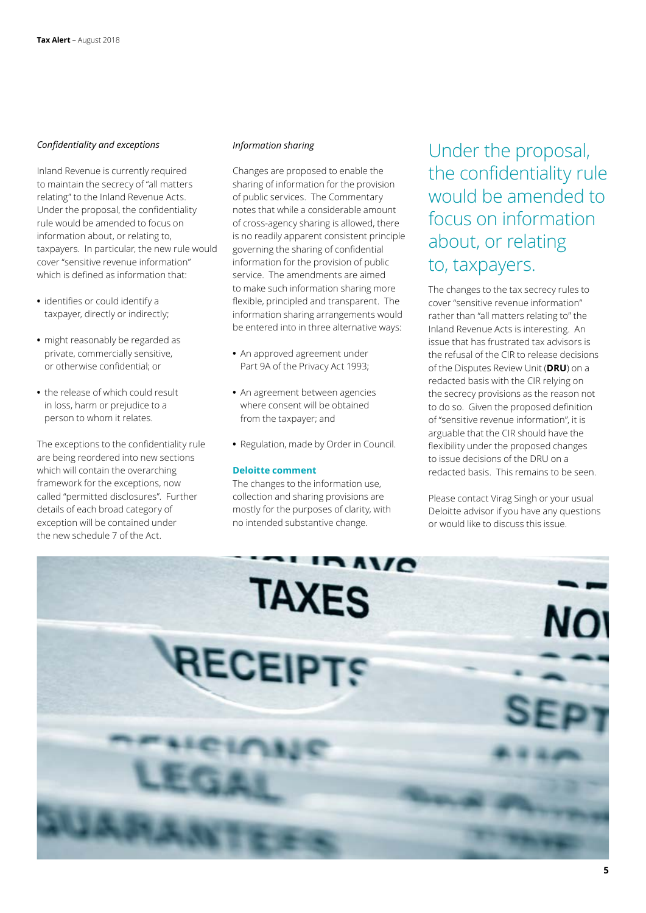#### *Confidentiality and exceptions*

Inland Revenue is currently required to maintain the secrecy of "all matters relating" to the Inland Revenue Acts. Under the proposal, the confidentiality rule would be amended to focus on information about, or relating to, taxpayers. In particular, the new rule would cover "sensitive revenue information" which is defined as information that:

- **•** identifies or could identify a taxpayer, directly or indirectly;
- **•** might reasonably be regarded as private, commercially sensitive, or otherwise confidential; or
- **•** the release of which could result in loss, harm or prejudice to a person to whom it relates.

The exceptions to the confidentiality rule are being reordered into new sections which will contain the overarching framework for the exceptions, now called "permitted disclosures". Further details of each broad category of exception will be contained under the new schedule 7 of the Act.

#### *Information sharing*

Changes are proposed to enable the sharing of information for the provision of public services. The Commentary notes that while a considerable amount of cross-agency sharing is allowed, there is no readily apparent consistent principle governing the sharing of confidential information for the provision of public service. The amendments are aimed to make such information sharing more flexible, principled and transparent. The information sharing arrangements would be entered into in three alternative ways:

- **•** An approved agreement under Part 9A of the Privacy Act 1993;
- **•** An agreement between agencies where consent will be obtained from the taxpayer; and
- **•** Regulation, made by Order in Council.

#### **Deloitte comment**

The changes to the information use, collection and sharing provisions are mostly for the purposes of clarity, with no intended substantive change.

Under the proposal, the confidentiality rule would be amended to focus on information about, or relating to, taxpayers.

The changes to the tax secrecy rules to cover "sensitive revenue information" rather than "all matters relating to" the Inland Revenue Acts is interesting. An issue that has frustrated tax advisors is the refusal of the CIR to release decisions of the Disputes Review Unit (**DRU**) on a redacted basis with the CIR relying on the secrecy provisions as the reason not to do so. Given the proposed definition of "sensitive revenue information", it is arguable that the CIR should have the flexibility under the proposed changes to issue decisions of the DRU on a redacted basis. This remains to be seen.

Please contact Virag Singh or your usual Deloitte advisor if you have any questions or would like to discuss this issue.

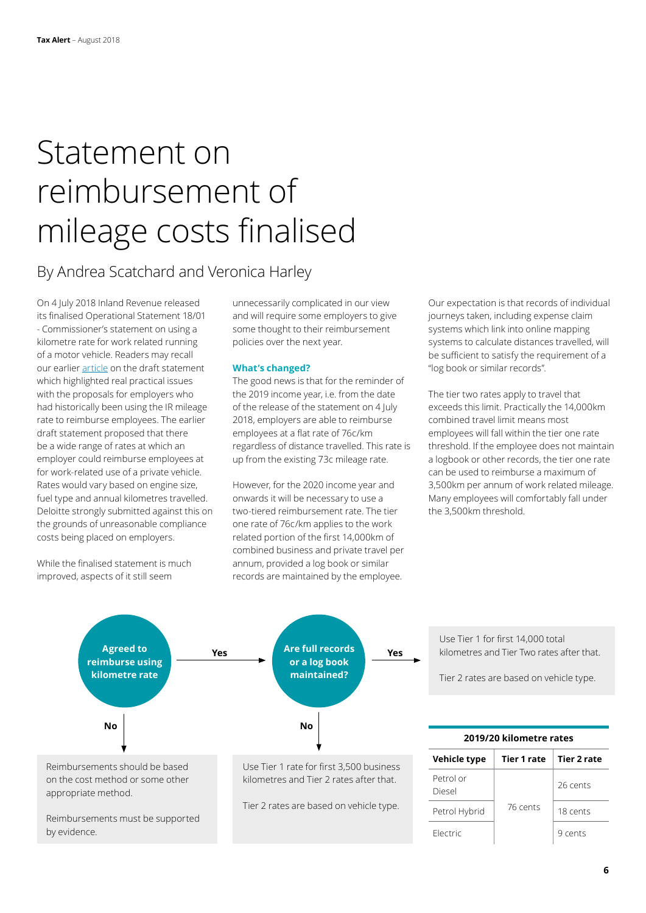## Statement on reimbursement of mileage costs finalised

### By Andrea Scatchard and Veronica Harley

On 4 July 2018 Inland Revenue released its finalised Operational Statement 18/01 - Commissioner's statement on using a kilometre rate for work related running of a motor vehicle. Readers may recall our earlier [article](https://www2.deloitte.com/nz/en/pages/tax-alerts/articles/new-rule-for-employers-reimbursing-employees-mileage-costs.html) on the draft statement which highlighted real practical issues with the proposals for employers who had historically been using the IR mileage rate to reimburse employees. The earlier draft statement proposed that there be a wide range of rates at which an employer could reimburse employees at for work-related use of a private vehicle. Rates would vary based on engine size, fuel type and annual kilometres travelled. Deloitte strongly submitted against this on the grounds of unreasonable compliance costs being placed on employers.

While the finalised statement is much improved, aspects of it still seem

Reimbursements must be supported

by evidence.

unnecessarily complicated in our view and will require some employers to give some thought to their reimbursement policies over the next year.

#### **What's changed?**

The good news is that for the reminder of the 2019 income year, i.e. from the date of the release of the statement on 4 July 2018, employers are able to reimburse employees at a flat rate of 76c/km regardless of distance travelled. This rate is up from the existing 73c mileage rate.

However, for the 2020 income year and onwards it will be necessary to use a two-tiered reimbursement rate. The tier one rate of 76c/km applies to the work related portion of the first 14,000km of combined business and private travel per annum, provided a log book or similar records are maintained by the employee.

Our expectation is that records of individual journeys taken, including expense claim systems which link into online mapping systems to calculate distances travelled, will be sufficient to satisfy the requirement of a "log book or similar records".

The tier two rates apply to travel that exceeds this limit. Practically the 14,000km combined travel limit means most employees will fall within the tier one rate threshold. If the employee does not maintain a logbook or other records, the tier one rate can be used to reimburse a maximum of 3,500km per annum of work related mileage. Many employees will comfortably fall under the 3,500km threshold.



Tier 2 rates are based on vehicle type.

Use Tier 1 for first 14,000 total kilometres and Tier Two rates after that.

Tier 2 rates are based on vehicle type.

| 2019/20 kilometre rates |                    |             |
|-------------------------|--------------------|-------------|
| Vehicle type            | <b>Tier 1 rate</b> | Tier 2 rate |
| Petrol or<br>Diesel     | 76 cents           | 26 cents    |
| Petrol Hybrid           |                    | 18 cents    |
| Flectric                |                    | 9 cents     |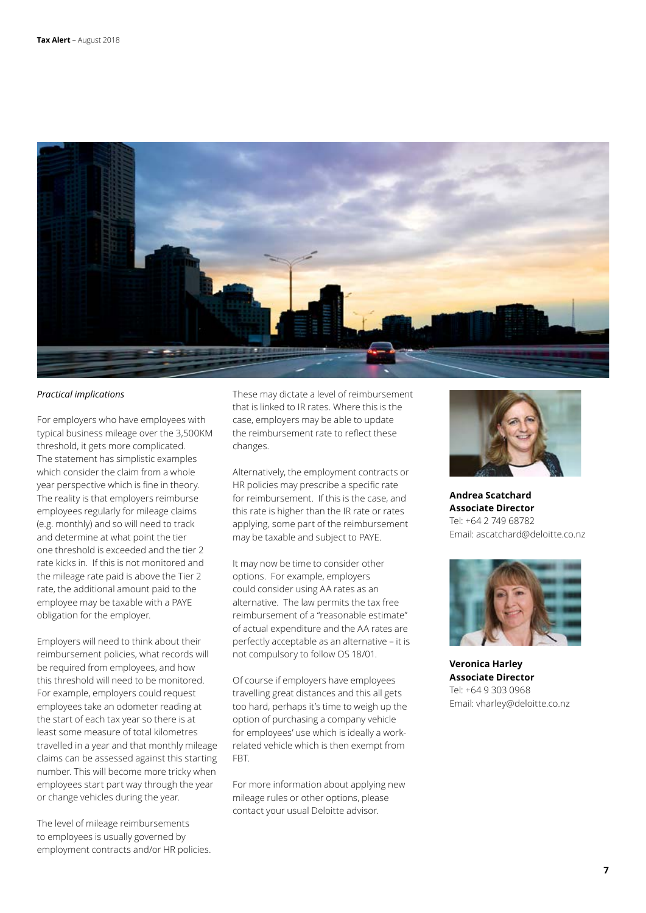

#### *Practical implications*

For employers who have employees with typical business mileage over the 3,500KM threshold, it gets more complicated. The statement has simplistic examples which consider the claim from a whole year perspective which is fine in theory. The reality is that employers reimburse employees regularly for mileage claims (e.g. monthly) and so will need to track and determine at what point the tier one threshold is exceeded and the tier 2 rate kicks in. If this is not monitored and the mileage rate paid is above the Tier 2 rate, the additional amount paid to the employee may be taxable with a PAYE obligation for the employer.

Employers will need to think about their reimbursement policies, what records will be required from employees, and how this threshold will need to be monitored. For example, employers could request employees take an odometer reading at the start of each tax year so there is at least some measure of total kilometres travelled in a year and that monthly mileage claims can be assessed against this starting number. This will become more tricky when employees start part way through the year or change vehicles during the year.

The level of mileage reimbursements to employees is usually governed by employment contracts and/or HR policies. These may dictate a level of reimbursement that is linked to IR rates. Where this is the case, employers may be able to update the reimbursement rate to reflect these changes.

Alternatively, the employment contracts or HR policies may prescribe a specific rate for reimbursement. If this is the case, and this rate is higher than the IR rate or rates applying, some part of the reimbursement may be taxable and subject to PAYE.

It may now be time to consider other options. For example, employers could consider using AA rates as an alternative. The law permits the tax free reimbursement of a "reasonable estimate" of actual expenditure and the AA rates are perfectly acceptable as an alternative – it is not compulsory to follow OS 18/01.

Of course if employers have employees travelling great distances and this all gets too hard, perhaps it's time to weigh up the option of purchasing a company vehicle for employees' use which is ideally a workrelated vehicle which is then exempt from FBT.

For more information about applying new mileage rules or other options, please contact your usual Deloitte advisor.



**Andrea Scatchard Associate Director** Tel: +64 2 749 68782 Email: ascatchard@deloitte.co.nz



**Veronica Harley Associate Director** Tel: +64 9 303 0968 Email: vharley@deloitte.co.nz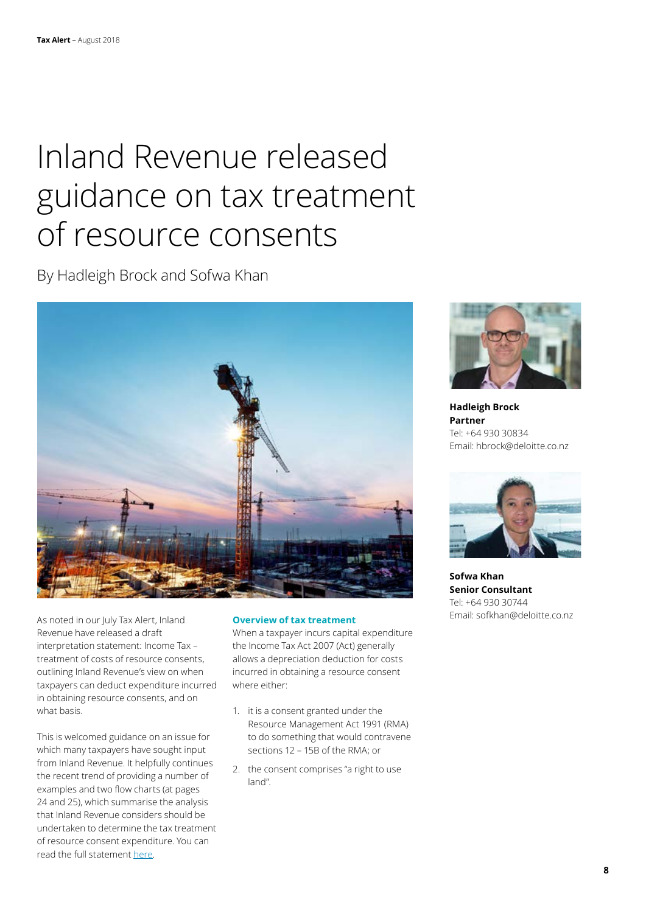## Inland Revenue released guidance on tax treatment of resource consents

By Hadleigh Brock and Sofwa Khan



As noted in our July Tax Alert, Inland Revenue have released a draft interpretation statement: Income Tax – treatment of costs of resource consents, outlining Inland Revenue's view on when taxpayers can deduct expenditure incurred in obtaining resource consents, and on what basis.

This is welcomed guidance on an issue for which many taxpayers have sought input from Inland Revenue. It helpfully continues the recent trend of providing a number of examples and two flow charts (at pages 24 and 25), which summarise the analysis that Inland Revenue considers should be undertaken to determine the tax treatment of resource consent expenditure. You can read the full statement [here.](http://www.ird.govt.nz/public-consultation/current/public-consultation-pub00171.html)

#### **Overview of tax treatment**

When a taxpayer incurs capital expenditure the Income Tax Act 2007 (Act) generally allows a depreciation deduction for costs incurred in obtaining a resource consent where either:

- 1. it is a consent granted under the Resource Management Act 1991 (RMA) to do something that would contravene sections 12 – 15B of the RMA; or
- 2. the consent comprises "a right to use land".



**Hadleigh Brock Partner** Tel: +64 930 30834 Email: hbrock@deloitte.co.nz



**Sofwa Khan Senior Consultant** Tel: +64 930 30744 Email: sofkhan@deloitte.co.nz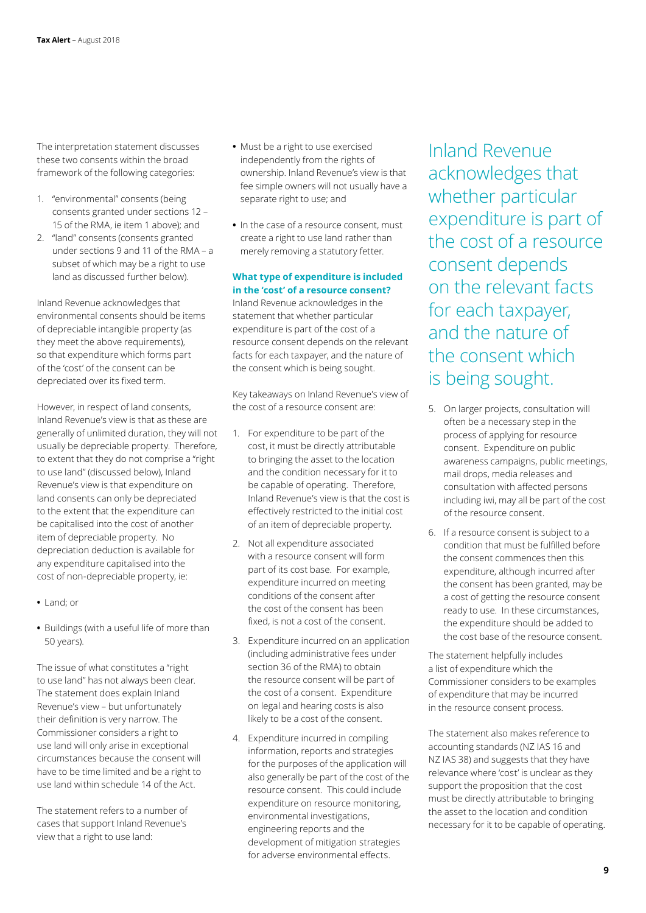The interpretation statement discusses these two consents within the broad framework of the following categories:

- 1. "environmental" consents (being consents granted under sections 12 – 15 of the RMA, ie item 1 above); and
- 2. "land" consents (consents granted under sections 9 and 11 of the RMA – a subset of which may be a right to use land as discussed further below).

Inland Revenue acknowledges that environmental consents should be items of depreciable intangible property (as they meet the above requirements), so that expenditure which forms part of the 'cost' of the consent can be depreciated over its fixed term.

However, in respect of land consents, Inland Revenue's view is that as these are generally of unlimited duration, they will not usually be depreciable property. Therefore, to extent that they do not comprise a "right to use land" (discussed below), Inland Revenue's view is that expenditure on land consents can only be depreciated to the extent that the expenditure can be capitalised into the cost of another item of depreciable property. No depreciation deduction is available for any expenditure capitalised into the cost of non-depreciable property, ie:

- **•** Land; or
- **•** Buildings (with a useful life of more than 50 years).

The issue of what constitutes a "right to use land" has not always been clear. The statement does explain Inland Revenue's view – but unfortunately their definition is very narrow. The Commissioner considers a right to use land will only arise in exceptional circumstances because the consent will have to be time limited and be a right to use land within schedule 14 of the Act.

The statement refers to a number of cases that support Inland Revenue's view that a right to use land:

- **•** Must be a right to use exercised independently from the rights of ownership. Inland Revenue's view is that fee simple owners will not usually have a separate right to use; and
- **•** In the case of a resource consent, must create a right to use land rather than merely removing a statutory fetter.

#### **What type of expenditure is included in the 'cost' of a resource consent?**

Inland Revenue acknowledges in the statement that whether particular expenditure is part of the cost of a resource consent depends on the relevant facts for each taxpayer, and the nature of the consent which is being sought.

Key takeaways on Inland Revenue's view of the cost of a resource consent are:

- 1. For expenditure to be part of the cost, it must be directly attributable to bringing the asset to the location and the condition necessary for it to be capable of operating. Therefore, Inland Revenue's view is that the cost is effectively restricted to the initial cost of an item of depreciable property.
- 2. Not all expenditure associated with a resource consent will form part of its cost base. For example, expenditure incurred on meeting conditions of the consent after the cost of the consent has been fixed, is not a cost of the consent.
- 3. Expenditure incurred on an application (including administrative fees under section 36 of the RMA) to obtain the resource consent will be part of the cost of a consent. Expenditure on legal and hearing costs is also likely to be a cost of the consent.
- 4. Expenditure incurred in compiling information, reports and strategies for the purposes of the application will also generally be part of the cost of the resource consent. This could include expenditure on resource monitoring, environmental investigations, engineering reports and the development of mitigation strategies for adverse environmental effects.

Inland Revenue acknowledges that whether particular expenditure is part of the cost of a resource consent depends on the relevant facts for each taxpayer, and the nature of the consent which is being sought.

- 5. On larger projects, consultation will often be a necessary step in the process of applying for resource consent. Expenditure on public awareness campaigns, public meetings, mail drops, media releases and consultation with affected persons including iwi, may all be part of the cost of the resource consent.
- 6. If a resource consent is subject to a condition that must be fulfilled before the consent commences then this expenditure, although incurred after the consent has been granted, may be a cost of getting the resource consent ready to use. In these circumstances, the expenditure should be added to the cost base of the resource consent.

The statement helpfully includes a list of expenditure which the Commissioner considers to be examples of expenditure that may be incurred in the resource consent process.

The statement also makes reference to accounting standards (NZ IAS 16 and NZ IAS 38) and suggests that they have relevance where 'cost' is unclear as they support the proposition that the cost must be directly attributable to bringing the asset to the location and condition necessary for it to be capable of operating.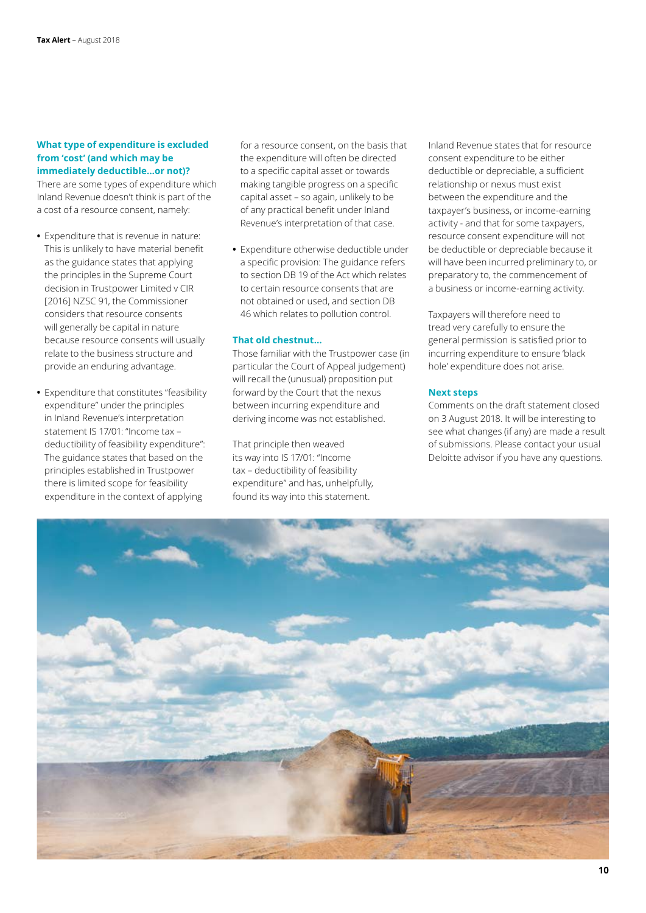#### **What type of expenditure is excluded from 'cost' (and which may be immediately deductible…or not)?**

There are some types of expenditure which Inland Revenue doesn't think is part of the a cost of a resource consent, namely:

- **•** Expenditure that is revenue in nature: This is unlikely to have material benefit as the guidance states that applying the principles in the Supreme Court decision in Trustpower Limited v CIR [2016] NZSC 91, the Commissioner considers that resource consents will generally be capital in nature because resource consents will usually relate to the business structure and provide an enduring advantage.
- **•** Expenditure that constitutes "feasibility expenditure" under the principles in Inland Revenue's interpretation statement IS 17/01: "Income tax – deductibility of feasibility expenditure": The guidance states that based on the principles established in Trustpower there is limited scope for feasibility expenditure in the context of applying

for a resource consent, on the basis that the expenditure will often be directed to a specific capital asset or towards making tangible progress on a specific capital asset – so again, unlikely to be of any practical benefit under Inland Revenue's interpretation of that case.

**•** Expenditure otherwise deductible under a specific provision: The guidance refers to section DB 19 of the Act which relates to certain resource consents that are not obtained or used, and section DB 46 which relates to pollution control.

#### **That old chestnut…**

Those familiar with the Trustpower case (in particular the Court of Appeal judgement) will recall the (unusual) proposition put forward by the Court that the nexus between incurring expenditure and deriving income was not established.

That principle then weaved its way into IS 17/01: "Income tax – deductibility of feasibility expenditure" and has, unhelpfully, found its way into this statement.

Inland Revenue states that for resource consent expenditure to be either deductible or depreciable, a sufficient relationship or nexus must exist between the expenditure and the taxpayer's business, or income-earning activity - and that for some taxpayers, resource consent expenditure will not be deductible or depreciable because it will have been incurred preliminary to, or preparatory to, the commencement of a business or income-earning activity.

Taxpayers will therefore need to tread very carefully to ensure the general permission is satisfied prior to incurring expenditure to ensure 'black hole' expenditure does not arise.

#### **Next steps**

Comments on the draft statement closed on 3 August 2018. It will be interesting to see what changes (if any) are made a result of submissions. Please contact your usual Deloitte advisor if you have any questions.

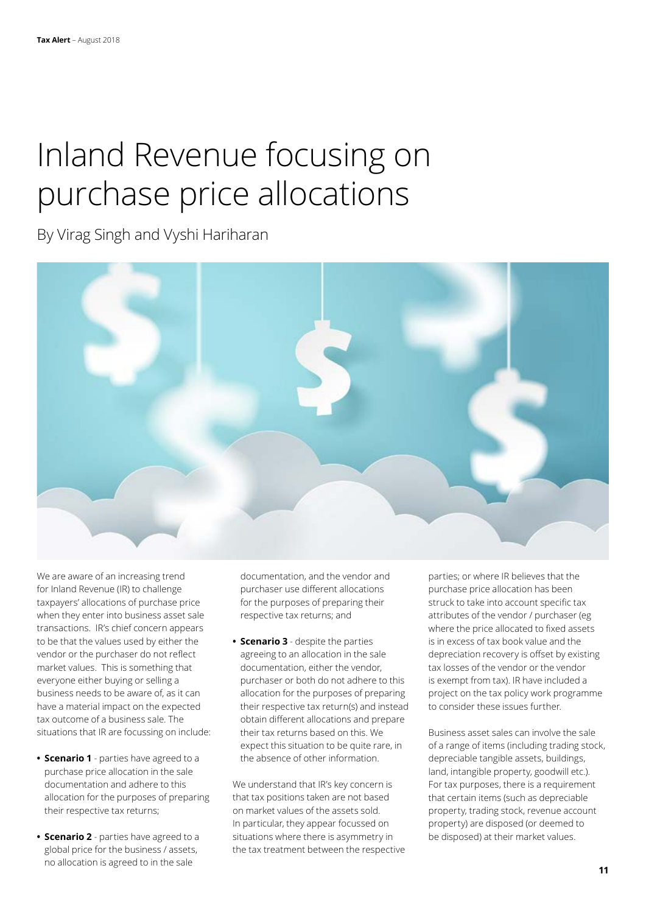## Inland Revenue focusing on purchase price allocations

By Virag Singh and Vyshi Hariharan

We are aware of an increasing trend for Inland Revenue (IR) to challenge taxpayers' allocations of purchase price when they enter into business asset sale transactions. IR's chief concern appears to be that the values used by either the vendor or the purchaser do not reflect market values. This is something that everyone either buying or selling a business needs to be aware of, as it can have a material impact on the expected tax outcome of a business sale. The situations that IR are focussing on include:

- **• Scenario 1** parties have agreed to a purchase price allocation in the sale documentation and adhere to this allocation for the purposes of preparing their respective tax returns;
- **• Scenario 2** parties have agreed to a global price for the business / assets, no allocation is agreed to in the sale

documentation, and the vendor and purchaser use different allocations for the purposes of preparing their respective tax returns; and

**• Scenario 3** - despite the parties agreeing to an allocation in the sale documentation, either the vendor, purchaser or both do not adhere to this allocation for the purposes of preparing their respective tax return(s) and instead obtain different allocations and prepare their tax returns based on this. We expect this situation to be quite rare, in the absence of other information.

We understand that IR's key concern is that tax positions taken are not based on market values of the assets sold. In particular, they appear focussed on situations where there is asymmetry in the tax treatment between the respective parties; or where IR believes that the purchase price allocation has been struck to take into account specific tax attributes of the vendor / purchaser (eg where the price allocated to fixed assets is in excess of tax book value and the depreciation recovery is offset by existing tax losses of the vendor or the vendor is exempt from tax). IR have included a project on the tax policy work programme to consider these issues further.

Business asset sales can involve the sale of a range of items (including trading stock, depreciable tangible assets, buildings, land, intangible property, goodwill etc.). For tax purposes, there is a requirement that certain items (such as depreciable property, trading stock, revenue account property) are disposed (or deemed to be disposed) at their market values.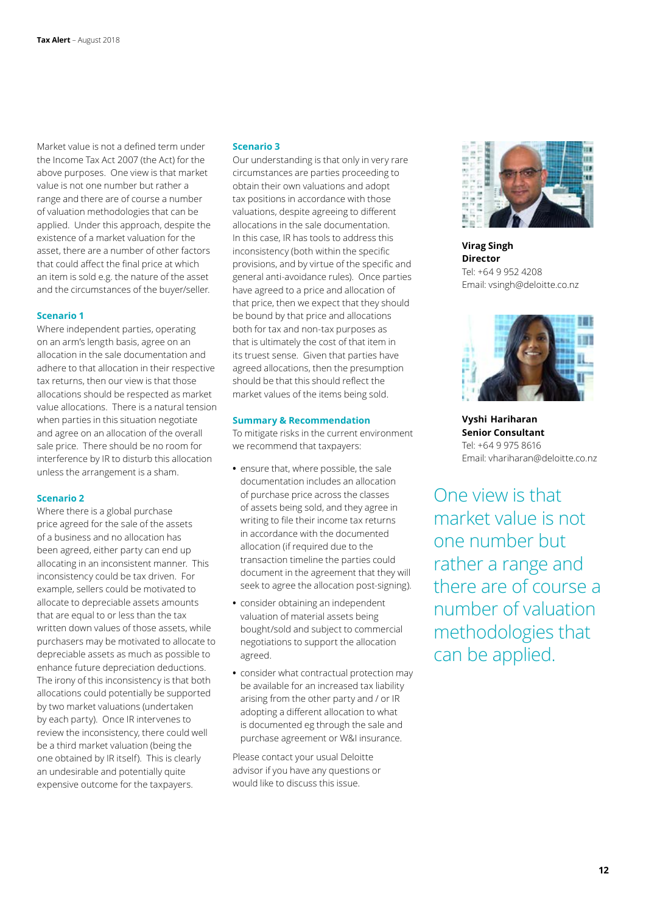Market value is not a defined term under the Income Tax Act 2007 (the Act) for the above purposes. One view is that market value is not one number but rather a range and there are of course a number of valuation methodologies that can be applied. Under this approach, despite the existence of a market valuation for the asset, there are a number of other factors that could affect the final price at which an item is sold e.g. the nature of the asset and the circumstances of the buyer/seller.

#### **Scenario 1**

Where independent parties, operating on an arm's length basis, agree on an allocation in the sale documentation and adhere to that allocation in their respective tax returns, then our view is that those allocations should be respected as market value allocations. There is a natural tension when parties in this situation negotiate and agree on an allocation of the overall sale price. There should be no room for interference by IR to disturb this allocation unless the arrangement is a sham.

#### **Scenario 2**

Where there is a global purchase price agreed for the sale of the assets of a business and no allocation has been agreed, either party can end up allocating in an inconsistent manner. This inconsistency could be tax driven. For example, sellers could be motivated to allocate to depreciable assets amounts that are equal to or less than the tax written down values of those assets, while purchasers may be motivated to allocate to depreciable assets as much as possible to enhance future depreciation deductions. The irony of this inconsistency is that both allocations could potentially be supported by two market valuations (undertaken by each party). Once IR intervenes to review the inconsistency, there could well be a third market valuation (being the one obtained by IR itself). This is clearly an undesirable and potentially quite expensive outcome for the taxpayers.

#### **Scenario 3**

Our understanding is that only in very rare circumstances are parties proceeding to obtain their own valuations and adopt tax positions in accordance with those valuations, despite agreeing to different allocations in the sale documentation. In this case, IR has tools to address this inconsistency (both within the specific provisions, and by virtue of the specific and general anti-avoidance rules). Once parties have agreed to a price and allocation of that price, then we expect that they should be bound by that price and allocations both for tax and non-tax purposes as that is ultimately the cost of that item in its truest sense. Given that parties have agreed allocations, then the presumption should be that this should reflect the market values of the items being sold.

#### **Summary & Recommendation**

To mitigate risks in the current environment we recommend that taxpayers:

- **•** ensure that, where possible, the sale documentation includes an allocation of purchase price across the classes of assets being sold, and they agree in writing to file their income tax returns in accordance with the documented allocation (if required due to the transaction timeline the parties could document in the agreement that they will seek to agree the allocation post-signing).
- **•** consider obtaining an independent valuation of material assets being bought/sold and subject to commercial negotiations to support the allocation agreed.
- **•** consider what contractual protection may be available for an increased tax liability arising from the other party and / or IR adopting a different allocation to what is documented eg through the sale and purchase agreement or W&I insurance.

Please contact your usual Deloitte advisor if you have any questions or would like to discuss this issue.



**Virag Singh Director** Tel: +64 9 952 4208 Email: vsingh@deloitte.co.nz



**Vyshi  Hariharan Senior Consultant** Tel: +64 9 975 8616 Email: vhariharan@deloitte.co.nz

One view is that market value is not one number but rather a range and there are of course a number of valuation methodologies that can be applied.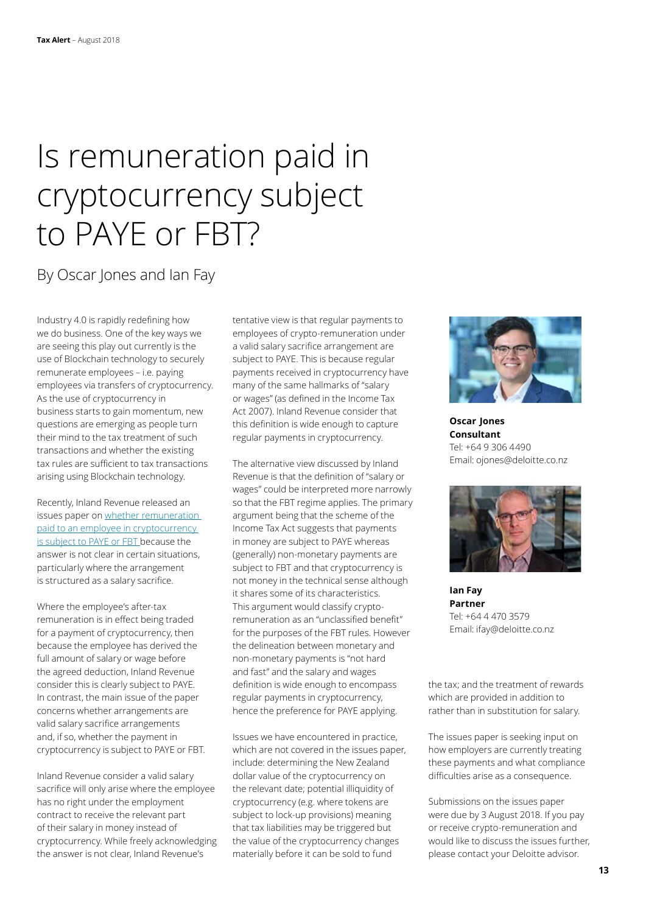## Is remuneration paid in cryptocurrency subject to PAYE or FBT?

### By Oscar Jones and Ian Fay

Industry 4.0 is rapidly redefining how we do business. One of the key ways we are seeing this play out currently is the use of Blockchain technology to securely remunerate employees – i.e. paying employees via transfers of cryptocurrency. As the use of cryptocurrency in business starts to gain momentum, new questions are emerging as people turn their mind to the tax treatment of such transactions and whether the existing tax rules are sufficient to tax transactions arising using Blockchain technology.

Recently, Inland Revenue released an issues paper on [whether remuneration](https://www.ird.govt.nz/resources/9/b/9be098bb-7db4-40b6-84c3-0bbb0b5b8885/irruip11.pdf)  [paid to an employee in cryptocurrency](https://www.ird.govt.nz/resources/9/b/9be098bb-7db4-40b6-84c3-0bbb0b5b8885/irruip11.pdf)  [is subject to PAYE or FBT](https://www.ird.govt.nz/resources/9/b/9be098bb-7db4-40b6-84c3-0bbb0b5b8885/irruip11.pdf) because the answer is not clear in certain situations, particularly where the arrangement is structured as a salary sacrifice.

Where the employee's after-tax remuneration is in effect being traded for a payment of cryptocurrency, then because the employee has derived the full amount of salary or wage before the agreed deduction, Inland Revenue consider this is clearly subject to PAYE. In contrast, the main issue of the paper concerns whether arrangements are valid salary sacrifice arrangements and, if so, whether the payment in cryptocurrency is subject to PAYE or FBT.

Inland Revenue consider a valid salary sacrifice will only arise where the employee has no right under the employment contract to receive the relevant part of their salary in money instead of cryptocurrency. While freely acknowledging the answer is not clear, Inland Revenue's

tentative view is that regular payments to employees of crypto-remuneration under a valid salary sacrifice arrangement are subject to PAYE. This is because regular payments received in cryptocurrency have many of the same hallmarks of "salary or wages" (as defined in the Income Tax Act 2007). Inland Revenue consider that this definition is wide enough to capture regular payments in cryptocurrency.

The alternative view discussed by Inland Revenue is that the definition of "salary or wages" could be interpreted more narrowly so that the FBT regime applies. The primary argument being that the scheme of the Income Tax Act suggests that payments in money are subject to PAYE whereas (generally) non-monetary payments are subject to FBT and that cryptocurrency is not money in the technical sense although it shares some of its characteristics. This argument would classify cryptoremuneration as an "unclassified benefit" for the purposes of the FBT rules. However the delineation between monetary and non-monetary payments is "not hard and fast" and the salary and wages definition is wide enough to encompass regular payments in cryptocurrency, hence the preference for PAYE applying.

Issues we have encountered in practice, which are not covered in the issues paper, include: determining the New Zealand dollar value of the cryptocurrency on the relevant date; potential illiquidity of cryptocurrency (e.g. where tokens are subject to lock-up provisions) meaning that tax liabilities may be triggered but the value of the cryptocurrency changes materially before it can be sold to fund



**Oscar  Jones Consultant** Tel: +64 9 306 4490 Email: ojones@deloitte.co.nz



**Ian Fay Partner** Tel: +64 4 470 3579 Email: ifay@deloitte.co.nz

the tax; and the treatment of rewards which are provided in addition to rather than in substitution for salary.

The issues paper is seeking input on how employers are currently treating these payments and what compliance difficulties arise as a consequence.

Submissions on the issues paper were due by 3 August 2018. If you pay or receive crypto-remuneration and would like to discuss the issues further, please contact your Deloitte advisor.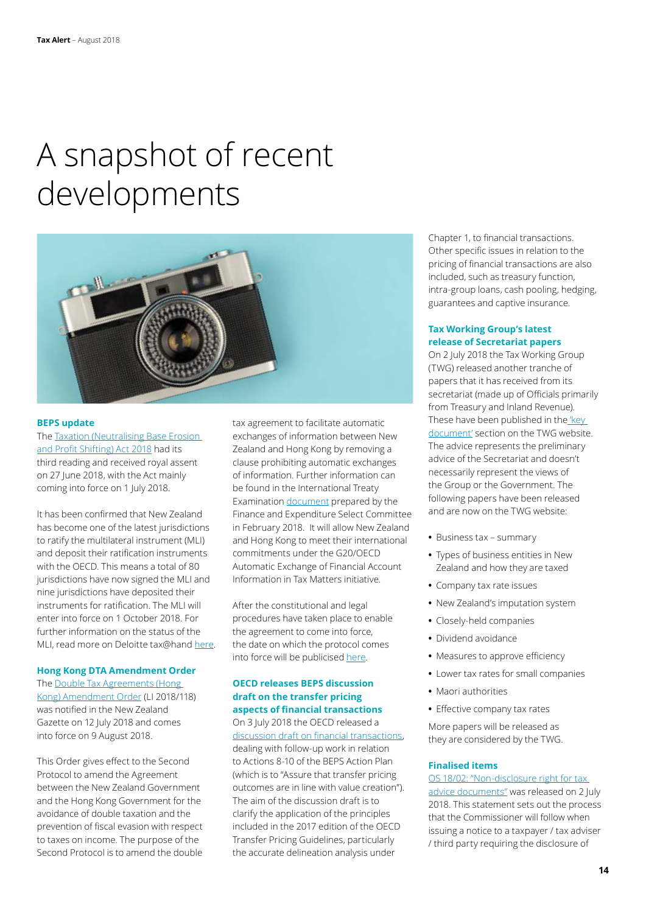## A snapshot of recent developments



#### **BEPS update**

The [Taxation \(Neutralising Base Erosion](http://www.legislation.govt.nz/act/public/2018/0016/14.0/DLM7505806.html)  [and Profit Shifting\) Act 2018](http://www.legislation.govt.nz/act/public/2018/0016/14.0/DLM7505806.html) had its third reading and received royal assent on 27 June 2018, with the Act mainly coming into force on 1 July 2018.

It has been confirmed that New Zealand has become one of the latest jurisdictions to ratify the multilateral instrument (MLI) and deposit their ratification instruments with the OECD. This means a total of 80 jurisdictions have now signed the MLI and nine jurisdictions have deposited their instruments for ratification. The MLI will enter into force on 1 October 2018. For further information on the status of the MLI, read more on Deloitte tax@hand [here.](https://www.taxathand.com/article/9902/New-Zealand/2018/More-jurisdictions-sign-MLI-and-deposit-ratification-instruments)

#### **Hong Kong DTA Amendment Order**

The [Double Tax Agreements \(Hong](http://www.legislation.govt.nz/regulation/public/2018/0118/latest/LMS56280.html?search=ts_act%40bill%40regulation%40deemedreg_hong+kong_resel_25_a&p=1)  [Kong\) Amendment Order](http://www.legislation.govt.nz/regulation/public/2018/0118/latest/LMS56280.html?search=ts_act%40bill%40regulation%40deemedreg_hong+kong_resel_25_a&p=1) (LI 2018/118) was notified in the New Zealand Gazette on 12 July 2018 and comes into force on 9 August 2018.

This Order gives effect to the Second Protocol to amend the Agreement between the New Zealand Government and the Hong Kong Government for the avoidance of double taxation and the prevention of fiscal evasion with respect to taxes on income. The purpose of the Second Protocol is to amend the double

tax agreement to facilitate automatic exchanges of information between New Zealand and Hong Kong by removing a clause prohibiting automatic exchanges of information. Further information can be found in the International Treaty Examination [document](http://taxpolicy.ird.govt.nz/sites/default/files/tax-treaties/2018-nia-protocol-2-nz-hong-kong.pdf) prepared by the Finance and Expenditure Select Committee in February 2018. It will allow New Zealand and Hong Kong to meet their international commitments under the G20/OECD Automatic Exchange of Financial Account Information in Tax Matters initiative.

After the constitutional and legal procedures have taken place to enable the agreement to come into force, the date on which the protocol comes into force will be publicised [here](http://taxpolicy.ird.govt.nz/tax-treaties).

#### **OECD releases BEPS discussion draft on the transfer pricing aspects of financial transactions**

On 3 July 2018 the OECD released a [discussion draft on financial transactions,](http://www.oecd.org/tax/oecd-releases-beps-discussion-draft-on-the-transfer-pricing-aspects-of-financial-transactions.htm) dealing with follow-up work in relation to Actions 8-10 of the BEPS Action Plan (which is to "Assure that transfer pricing outcomes are in line with value creation"). The aim of the discussion draft is to clarify the application of the principles included in the 2017 edition of the OECD Transfer Pricing Guidelines, particularly the accurate delineation analysis under

Chapter 1, to financial transactions. Other specific issues in relation to the pricing of financial transactions are also included, such as treasury function, intra-group loans, cash pooling, hedging, guarantees and captive insurance.

#### **Tax Working Group's latest release of Secretariat papers**

On 2 July 2018 the Tax Working Group (TWG) released another tranche of papers that it has received from its secretariat (made up of Officials primarily from Treasury and Inland Revenue). These have been published in the 'key [document'](https://taxworkinggroup.govt.nz/key-documents) section on the TWG website. The advice represents the preliminary advice of the Secretariat and doesn't necessarily represent the views of the Group or the Government. The following papers have been released and are now on the TWG website:

- **•** Business tax summary
- **•** Types of business entities in New Zealand and how they are taxed
- **•** Company tax rate issues
- **•** New Zealand's imputation system
- **•** Closely-held companies
- **•** Dividend avoidance
- **•** Measures to approve efficiency
- **•** Lower tax rates for small companies
- **•** Maori authorities
- **•** Effective company tax rates

More papers will be released as they are considered by the TWG.

#### **Finalised items**

[OS 18/02: "Non-disclosure right for tax](http://www.ird.govt.nz/technical-tax/op-statements/1802-non-disclosure-tax-documents.html)  [advice documents"](http://www.ird.govt.nz/technical-tax/op-statements/1802-non-disclosure-tax-documents.html) was released on 2 July 2018. This statement sets out the process that the Commissioner will follow when issuing a notice to a taxpayer / tax adviser / third party requiring the disclosure of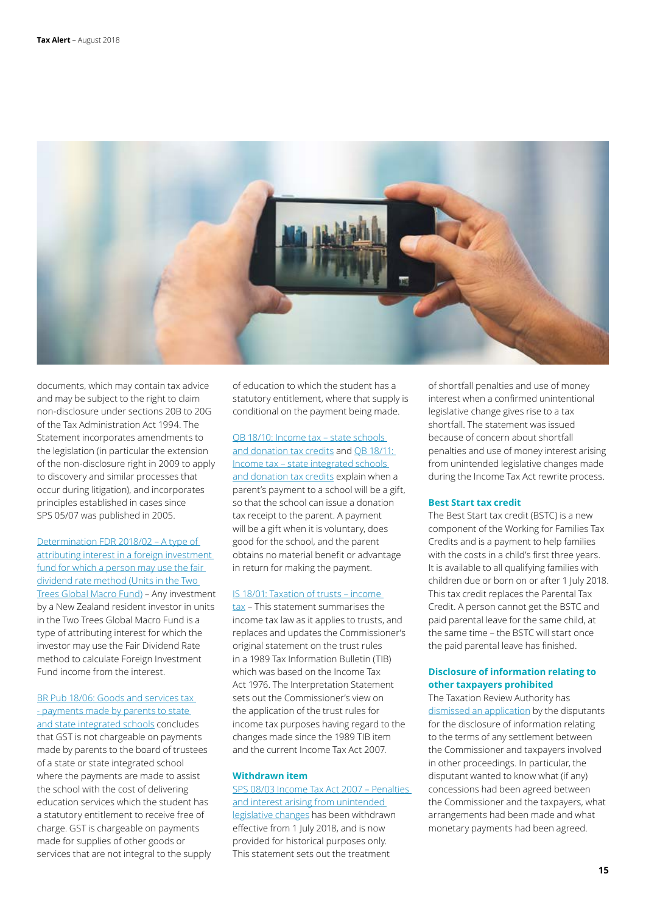

documents, which may contain tax advice and may be subject to the right to claim non-disclosure under sections 20B to 20G of the Tax Administration Act 1994. The Statement incorporates amendments to the legislation (in particular the extension of the non-disclosure right in 2009 to apply to discovery and similar processes that occur during litigation), and incorporates principles established in cases since SPS 05/07 was published in 2005.

[Determination FDR 2018/02 – A type of](http://www.ird.govt.nz/technical-tax/determinations/other/international-tax/foreign-investment-fund/determinations-other-fdr2018-02.html)  [attributing interest in a foreign investment](http://www.ird.govt.nz/technical-tax/determinations/other/international-tax/foreign-investment-fund/determinations-other-fdr2018-02.html)  [fund for which a person may use the fair](http://www.ird.govt.nz/technical-tax/determinations/other/international-tax/foreign-investment-fund/determinations-other-fdr2018-02.html)  [dividend rate method \(Units in the Two](http://www.ird.govt.nz/technical-tax/determinations/other/international-tax/foreign-investment-fund/determinations-other-fdr2018-02.html)  [Trees Global Macro Fund\)](http://www.ird.govt.nz/technical-tax/determinations/other/international-tax/foreign-investment-fund/determinations-other-fdr2018-02.html) – Any investment by a New Zealand resident investor in units in the Two Trees Global Macro Fund is a type of attributing interest for which the investor may use the Fair Dividend Rate method to calculate Foreign Investment Fund income from the interest.

[BR Pub 18/06: Goods and services tax](https://www.ird.govt.nz/technical-tax/public-rulings/2018/public-ruling-1806.html)  - payments made by parents to state [and state integrated schools](https://www.ird.govt.nz/technical-tax/public-rulings/2018/public-ruling-1806.html) concludes that GST is not chargeable on payments made by parents to the board of trustees of a state or state integrated school where the payments are made to assist the school with the cost of delivering education services which the student has a statutory entitlement to receive free of charge. GST is chargeable on payments made for supplies of other goods or services that are not integral to the supply of education to which the student has a statutory entitlement, where that supply is conditional on the payment being made.

#### [QB 18/10: Income tax – state schools](https://www.ird.govt.nz/technical-tax/questions/questions-general/qwba-1810-state-schools-donation-cred.html)  [and donation tax credits](https://www.ird.govt.nz/technical-tax/questions/questions-general/qwba-1810-state-schools-donation-cred.html) and [QB 18/11:](https://www.ird.govt.nz/technical-tax/questions/questions-general/qwba-1811-state-integrated-schools-donation.html)

[Income tax – state integrated schools](https://www.ird.govt.nz/technical-tax/questions/questions-general/qwba-1811-state-integrated-schools-donation.html)  [and donation tax credits](https://www.ird.govt.nz/technical-tax/questions/questions-general/qwba-1811-state-integrated-schools-donation.html) explain when a parent's payment to a school will be a gift, so that the school can issue a donation tax receipt to the parent. A payment will be a gift when it is voluntary, does good for the school, and the parent obtains no material benefit or advantage in return for making the payment.

#### [IS 18/01: Taxation of trusts – income](https://www.ird.govt.nz/technical-tax/interpretations/2018/interpretations-2018-is1801.html)

[tax](https://www.ird.govt.nz/technical-tax/interpretations/2018/interpretations-2018-is1801.html) – This statement summarises the income tax law as it applies to trusts, and replaces and updates the Commissioner's original statement on the trust rules in a 1989 Tax Information Bulletin (TIB) which was based on the Income Tax Act 1976. The Interpretation Statement sets out the Commissioner's view on the application of the trust rules for income tax purposes having regard to the changes made since the 1989 TIB item and the current Income Tax Act 2007.

#### **Withdrawn item**

[SPS 08/03 Income Tax Act 2007 – Penalties](http://www.ird.govt.nz/technical-tax/standard-practice/withdrawn/sps-general-0803-ita-2007.html)  [and interest arising from unintended](http://www.ird.govt.nz/technical-tax/standard-practice/withdrawn/sps-general-0803-ita-2007.html)  [legislative changes](http://www.ird.govt.nz/technical-tax/standard-practice/withdrawn/sps-general-0803-ita-2007.html) has been withdrawn effective from 1 July 2018, and is now provided for historical purposes only. This statement sets out the treatment

of shortfall penalties and use of money interest when a confirmed unintentional legislative change gives rise to a tax shortfall. The statement was issued because of concern about shortfall penalties and use of money interest arising from unintended legislative changes made during the Income Tax Act rewrite process.

#### **Best Start tax credit**

The Best Start tax credit (BSTC) is a new component of the Working for Families Tax Credits and is a payment to help families with the costs in a child's first three years. It is available to all qualifying families with children due or born on or after 1 July 2018. This tax credit replaces the Parental Tax Credit. A person cannot get the BSTC and paid parental leave for the same child, at the same time – the BSTC will start once the paid parental leave has finished.

#### **Disclosure of information relating to other taxpayers prohibited**

The Taxation Review Authority has [dismissed an application](http://intelliconnect.wkasiapacific.com/docmedia/attach/WKAP-TAL-DOCS-PHC/42/ntxtnews_72612903.pdf) by the disputants for the disclosure of information relating to the terms of any settlement between the Commissioner and taxpayers involved in other proceedings. In particular, the disputant wanted to know what (if any) concessions had been agreed between the Commissioner and the taxpayers, what arrangements had been made and what monetary payments had been agreed.